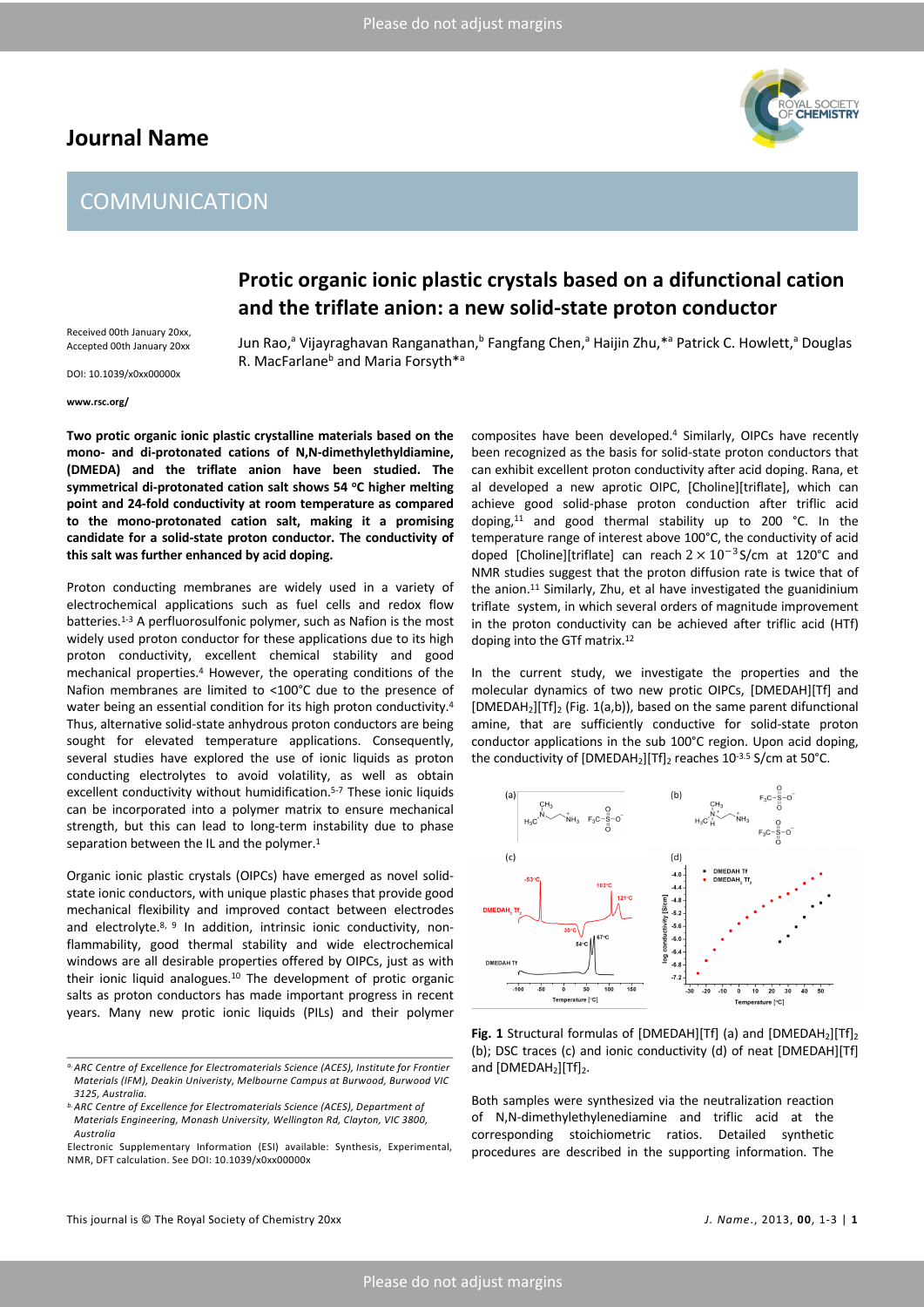## **Journal Name**



# **COMMUNICATION**

# **Protic organic ionic plastic crystals based on a difunctional cation and the triflate anion: a new solid-state proton conductor**

Received 00th January 20xx, Accepted 00th January 20xx DOI: 10.1039/x0xx00000x

Jun Rao,<sup>a</sup> Vijayraghavan Ranganathan,<sup>b</sup> Fangfang Chen,<sup>a</sup> Haijin Zhu,\*<sup>a</sup> Patrick C. Howlett,<sup>a</sup> Douglas R. MacFarlane<sup>b</sup> and Maria Forsyth<sup>\*a</sup>

#### **www.rsc.org/**

**Two protic organic ionic plastic crystalline materials based on the mono- and di-protonated cations of N,N-dimethylethyldiamine, (DMEDA) and the triflate anion have been studied. The symmetrical di-protonated cation salt shows 54 oC higher melting point and 24-fold conductivity at room temperature as compared to the mono-protonated cation salt, making it a promising candidate for a solid-state proton conductor. The conductivity of this salt was further enhanced by acid doping.**

Proton conducting membranes are widely used in a variety of electrochemical applications such as fuel cells and redox flow batteries.<sup>1-3</sup> A perfluorosulfonic polymer, such as Nafion is the most widely used proton conductor for these applications due to its high proton conductivity, excellent chemical stability and good mechanical properties.4 However, the operating conditions of the Nafion membranes are limited to <100°C due to the presence of water being an essential condition for its high proton conductivity.<sup>4</sup> Thus, alternative solid-state anhydrous proton conductors are being sought for elevated temperature applications. Consequently, several studies have explored the use of ionic liquids as proton conducting electrolytes to avoid volatility, as well as obtain excellent conductivity without humidification.<sup>5-7</sup> These ionic liquids can be incorporated into a polymer matrix to ensure mechanical strength, but this can lead to long-term instability due to phase separation between the IL and the polymer.<sup>1</sup>

Organic ionic plastic crystals (OIPCs) have emerged as novel solidstate ionic conductors, with unique plastic phases that provide good mechanical flexibility and improved contact between electrodes and electrolyte. $8, 9$  In addition, intrinsic ionic conductivity, nonflammability, good thermal stability and wide electrochemical windows are all desirable properties offered by OIPCs, just as with their ionic liquid analogues.10 The development of protic organic salts as proton conductors has made important progress in recent years. Many new protic ionic liquids (PILs) and their polymer

composites have been developed.4 Similarly, OIPCs have recently been recognized as the basis for solid-state proton conductors that can exhibit excellent proton conductivity after acid doping. Rana, et al developed a new aprotic OIPC, [Choline][triflate], which can achieve good solid-phase proton conduction after triflic acid doping, <sup>11</sup> and good thermal stability up to 200 °C. In the temperature range of interest above 100°C, the conductivity of acid doped [Choline][triflate] can reach  $2 \times 10^{-3}$  S/cm at 120°C and NMR studies suggest that the proton diffusion rate is twice that of the anion.<sup>11</sup> Similarly, Zhu, et al have investigated the guanidinium triflate system, in which several orders of magnitude improvement in the proton conductivity can be achieved after triflic acid (HTf) doping into the GTf matrix.12

In the current study, we investigate the properties and the molecular dynamics of two new protic OIPCs, [DMEDAH][Tf] and [DMEDAH<sub>2</sub>][Tf]<sub>2</sub> (Fig. 1(a,b)), based on the same parent difunctional amine, that are sufficiently conductive for solid-state proton conductor applications in the sub 100°C region. Upon acid doping, the conductivity of  $[DMEDAH_2]$ [Tf]<sub>2</sub> reaches  $10^{-3.5}$  S/cm at 50 $^{\circ}$ C.



Fig. 1 Structural formulas of [DMEDAH][Tf] (a) and [DMEDAH<sub>2</sub>][Tf]<sub>2</sub> (b); DSC traces (c) and ionic conductivity (d) of neat [DMEDAH][Tf] and  $[DMEDAH<sub>2</sub>][Tf]<sub>2</sub>$ .

Both samples were synthesized via the neutralization reaction of N,N-dimethylethylenediamine and triflic acid at the corresponding stoichiometric ratios. Detailed synthetic procedures are described in the supporting information. The

*a.ARC Centre of Excellence for Electromaterials Science (ACES), Institute for Frontier Materials (IFM), Deakin Univeristy, Melbourne Campus at Burwood, Burwood VIC 3125, Australia.*

*b. ARC Centre of Excellence for Electromaterials Science (ACES), Department of Materials Engineering, Monash University, Wellington Rd, Clayton, VIC 3800, Australia*

Electronic Supplementary Information (ESI) available: Synthesis, Experimental, NMR, DFT calculation. See DOI: 10.1039/x0xx00000x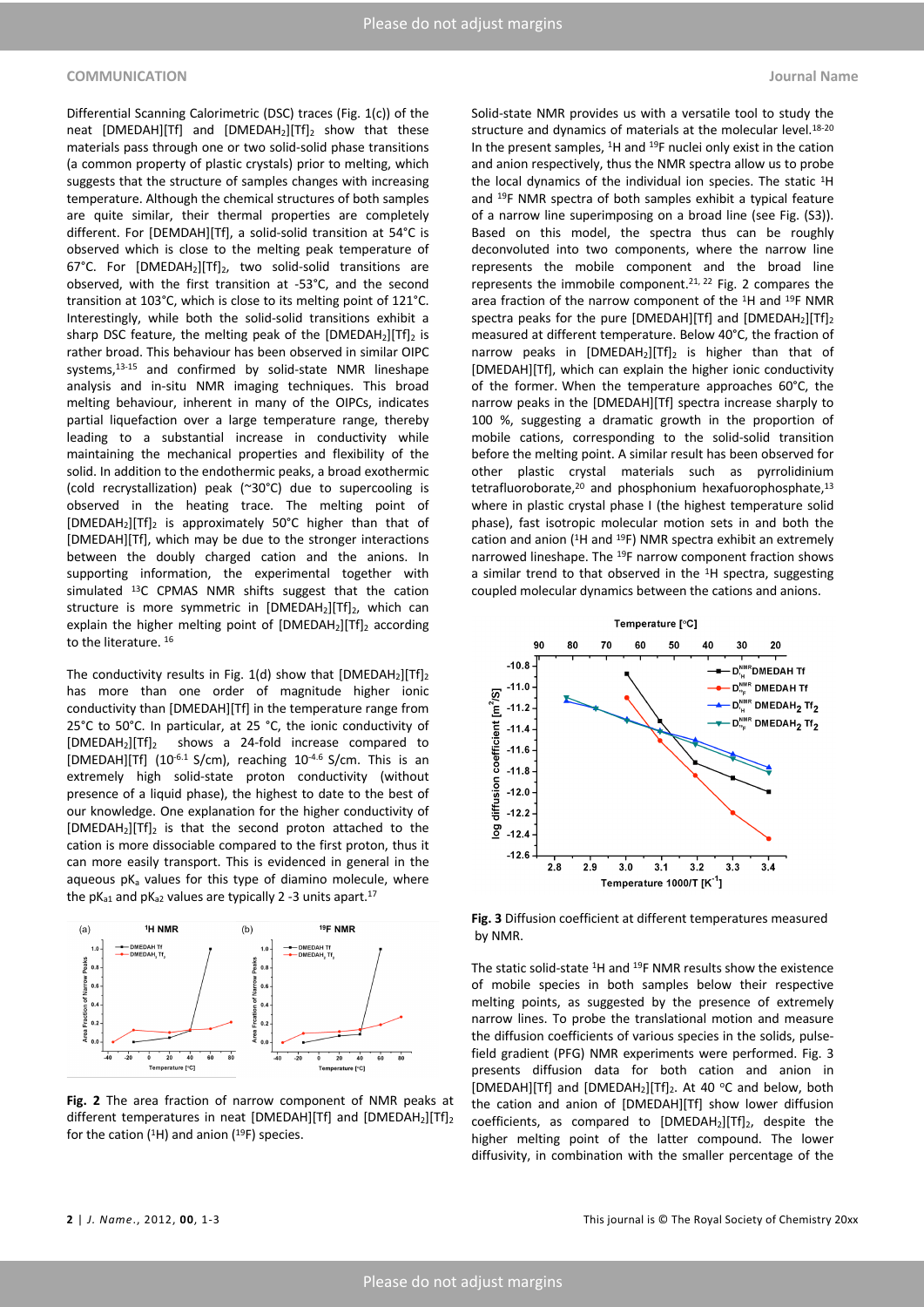### **COMMUNICATION Journal Name**

Differential Scanning Calorimetric (DSC) traces (Fig. 1(c)) of the neat  $[DMEDAH][Tf]$  and  $[DMEDAH_2][Tf]_2$  show that these materials pass through one or two solid-solid phase transitions (a common property of plastic crystals) prior to melting, which suggests that the structure of samples changes with increasing temperature. Although the chemical structures of both samples are quite similar, their thermal properties are completely different. For [DEMDAH][Tf], a solid-solid transition at 54°C is observed which is close to the melting peak temperature of 67°C. For [DMEDAH<sub>2</sub>][Tf]<sub>2</sub>, two solid-solid transitions are observed, with the first transition at -53°C, and the second transition at 103°C, which is close to its melting point of 121°C. Interestingly, while both the solid-solid transitions exhibit a sharp DSC feature, the melting peak of the  $[DMEDAH_2][Tf]_2$  is rather broad. This behaviour has been observed in similar OIPC systems, 13-15 and confirmed by solid-state NMR lineshape analysis and in-situ NMR imaging techniques. This broad melting behaviour, inherent in many of the OIPCs, indicates partial liquefaction over a large temperature range, thereby leading to a substantial increase in conductivity while maintaining the mechanical properties and flexibility of the solid. In addition to the endothermic peaks, a broad exothermic (cold recrystallization) peak (~30°C) due to supercooling is observed in the heating trace. The melting point of [DMEDAH<sub>2</sub>][Tf]<sub>2</sub> is approximately 50°C higher than that of [DMEDAH][Tf], which may be due to the stronger interactions between the doubly charged cation and the anions. In supporting information, the experimental together with simulated 13C CPMAS NMR shifts suggest that the cation structure is more symmetric in  $[DMEDAH_2][Tf]_2$ , which can explain the higher melting point of  $[DMEDAH_2][Tf]_2$  according to the literature. <sup>16</sup>

The conductivity results in Fig. 1(d) show that  $[DMEDAH_2][Tf]_2$ has more than one order of magnitude higher ionic conductivity than [DMEDAH][Tf] in the temperature range from 25°C to 50°C. In particular, at 25 °C, the ionic conductivity of [DMEDAH2][Tf]2 shows a 24-fold increase compared to [DMEDAH][Tf] (10-6.1 S/cm), reaching 10-4.6 S/cm. This is an extremely high solid-state proton conductivity (without presence of a liquid phase), the highest to date to the best of our knowledge. One explanation for the higher conductivity of [DMEDAH2][Tf]2 is that the second proton attached to the cation is more dissociable compared to the first proton, thus it can more easily transport. This is evidenced in general in the aqueous  $pK<sub>a</sub>$  values for this type of diamino molecule, where the  $pK_{a1}$  and  $pK_{a2}$  values are typically 2 -3 units apart.<sup>17</sup>



**Fig. 2** The area fraction of narrow component of NMR peaks at different temperatures in neat [DMEDAH][Tf] and  $[DMEDAH_2][Tf]_2$ for the cation ( $^{1}$ H) and anion ( $^{19}$ F) species.

Solid-state NMR provides us with a versatile tool to study the structure and dynamics of materials at the molecular level.<sup>18-20</sup> In the present samples, <sup>1</sup>H and <sup>19</sup>F nuclei only exist in the cation and anion respectively, thus the NMR spectra allow us to probe the local dynamics of the individual ion species. The static <sup>1</sup>H and 19F NMR spectra of both samples exhibit a typical feature of a narrow line superimposing on a broad line (see Fig. (S3)). Based on this model, the spectra thus can be roughly deconvoluted into two components, where the narrow line represents the mobile component and the broad line represents the immobile component.21, 22 Fig. 2 compares the area fraction of the narrow component of the 1H and 19F NMR spectra peaks for the pure [DMEDAH][Tf] and  $[DMEDAH_2][Tf]_2$ measured at different temperature. Below 40°C, the fraction of narrow peaks in  $[DMEDAH_2][Tf]_2$  is higher than that of [DMEDAH][Tf], which can explain the higher ionic conductivity of the former. When the temperature approaches 60°C, the narrow peaks in the [DMEDAH][Tf] spectra increase sharply to 100 %, suggesting a dramatic growth in the proportion of mobile cations, corresponding to the solid-solid transition before the melting point. A similar result has been observed for other plastic crystal materials such as pyrrolidinium tetrafluoroborate,<sup>20</sup> and phosphonium hexafuorophosphate,<sup>13</sup> where in plastic crystal phase I (the highest temperature solid phase), fast isotropic molecular motion sets in and both the cation and anion (1H and 19F) NMR spectra exhibit an extremely narrowed lineshape. The 19F narrow component fraction shows a similar trend to that observed in the 1H spectra, suggesting coupled molecular dynamics between the cations and anions.



**Fig. 3** Diffusion coefficient at different temperatures measured by NMR.

The static solid-state 1H and 19F NMR results show the existence of mobile species in both samples below their respective melting points, as suggested by the presence of extremely narrow lines. To probe the translational motion and measure the diffusion coefficients of various species in the solids, pulsefield gradient (PFG) NMR experiments were performed. Fig. 3 presents diffusion data for both cation and anion in [DMEDAH][Tf] and [DMEDAH<sub>2</sub>][Tf]<sub>2</sub>. At 40 °C and below, both the cation and anion of [DMEDAH][Tf] show lower diffusion coefficients, as compared to  $[DMEDAH_2][Tf]_2$ , despite the higher melting point of the latter compound. The lower diffusivity, in combination with the smaller percentage of the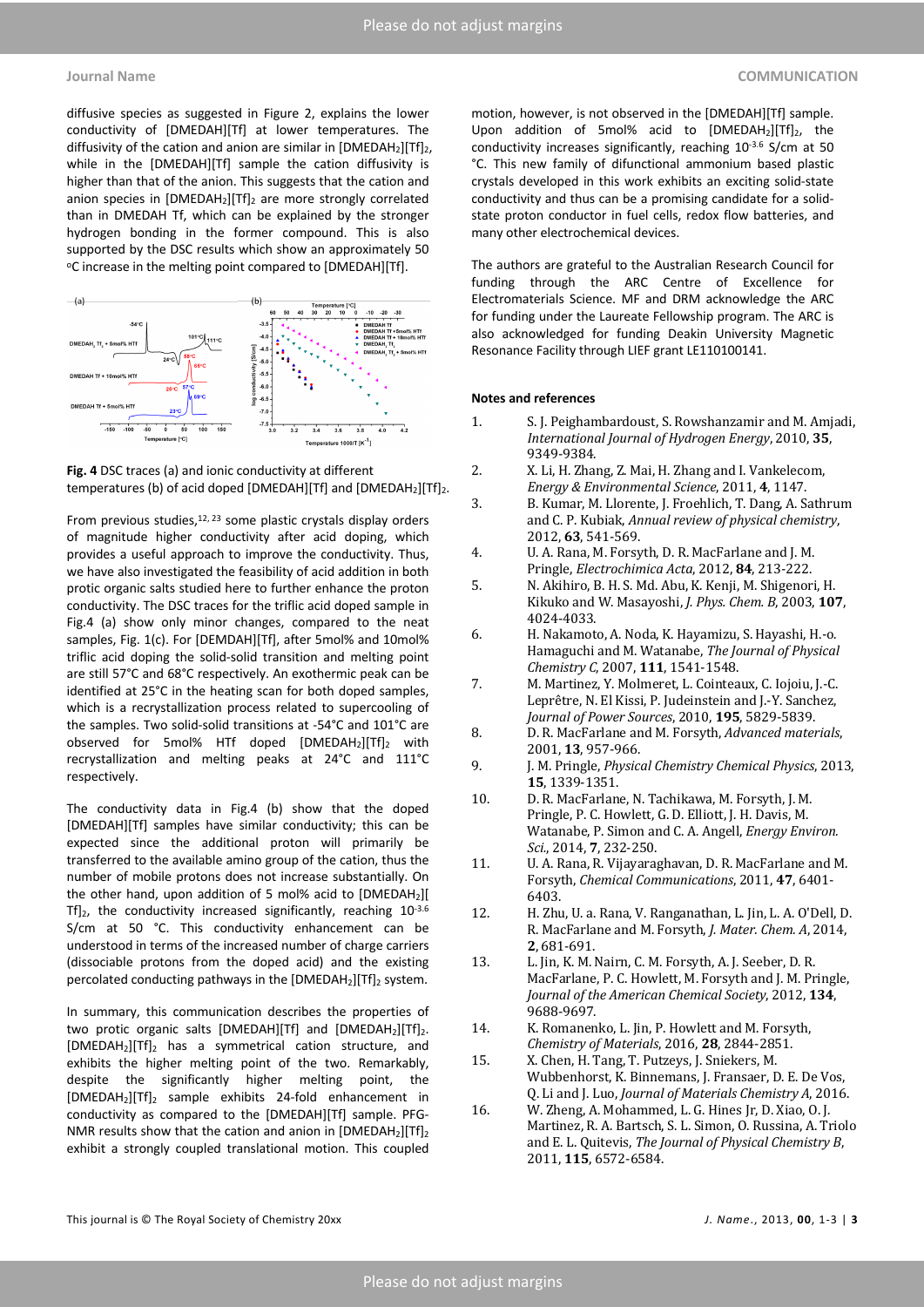diffusive species as suggested in Figure 2, explains the lower conductivity of [DMEDAH][Tf] at lower temperatures. The diffusivity of the cation and anion are similar in  $[DMEDAH_2][Tf]_2$ , while in the [DMEDAH][Tf] sample the cation diffusivity is higher than that of the anion. This suggests that the cation and anion species in  $[DMEDAH_2][Tf]_2$  are more strongly correlated than in DMEDAH Tf, which can be explained by the stronger hydrogen bonding in the former compound. This is also supported by the DSC results which show an approximately 50 °C increase in the melting point compared to [DMEDAH][Tf].





From previous studies,<sup>12, 23</sup> some plastic crystals display orders of magnitude higher conductivity after acid doping, which provides a useful approach to improve the conductivity. Thus, we have also investigated the feasibility of acid addition in both protic organic salts studied here to further enhance the proton conductivity. The DSC traces for the triflic acid doped sample in Fig.4 (a) show only minor changes, compared to the neat samples, Fig. 1(c). For [DEMDAH][Tf], after 5mol% and 10mol% triflic acid doping the solid-solid transition and melting point are still 57°C and 68°C respectively. An exothermic peak can be identified at 25°C in the heating scan for both doped samples, which is a recrystallization process related to supercooling of the samples. Two solid-solid transitions at -54°C and 101°C are observed for 5mol% HTf doped  $[DMEDAH_2][Tf]_2$  with recrystallization and melting peaks at 24°C and 111°C respectively.

The conductivity data in Fig.4 (b) show that the doped [DMEDAH][Tf] samples have similar conductivity; this can be expected since the additional proton will primarily be transferred to the available amino group of the cation, thus the number of mobile protons does not increase substantially. On the other hand, upon addition of 5 mol% acid to [DMEDAH2][  $Tf|_{2}$ , the conductivity increased significantly, reaching  $10^{-3.6}$ S/cm at 50 °C. This conductivity enhancement can be understood in terms of the increased number of charge carriers (dissociable protons from the doped acid) and the existing percolated conducting pathways in the  $[DMEDAH_2][Tf]_2$  system.

In summary, this communication describes the properties of two protic organic salts  $[DMEDAH][Tf]$  and  $[DMEDAH_2][Tf]_2$ . [DMEDAH2][Tf]2 has a symmetrical cation structure, and exhibits the higher melting point of the two. Remarkably, despite the significantly higher melting point, the [DMEDAH2][Tf]2 sample exhibits 24-fold enhancement in conductivity as compared to the [DMEDAH][Tf] sample. PFG-NMR results show that the cation and anion in  $[DMEDAH_2][Tf]_2$ exhibit a strongly coupled translational motion. This coupled

motion, however, is not observed in the [DMEDAH][Tf] sample. Upon addition of 5mol% acid to  $[DMEDAH_2][Tf]_2$ , the conductivity increases significantly, reaching 10-3.6 S/cm at 50 °C. This new family of difunctional ammonium based plastic crystals developed in this work exhibits an exciting solid-state conductivity and thus can be a promising candidate for a solidstate proton conductor in fuel cells, redox flow batteries, and many other electrochemical devices.

The authors are grateful to the Australian Research Council for funding through the ARC Centre of Excellence for Electromaterials Science. MF and DRM acknowledge the ARC for funding under the Laureate Fellowship program. The ARC is also acknowledged for funding Deakin University Magnetic Resonance Facility through LIEF grant LE110100141.

### **Notes and references**

- 1. S. J. Peighambardoust, S. Rowshanzamir and M. Amjadi, *International Journal of Hydrogen Energy*, 2010, 35, 9349-9384.
- 2. X. Li, H. Zhang, Z. Mai, H. Zhang and I. Vankelecom, *Energy & Environmental Science*, 2011, 4, 1147.
- 3. B. Kumar, M. Llorente, J. Froehlich, T. Dang, A. Sathrum and C. P. Kubiak, *Annual review of physical chemistry*, 2012, **63**, 541-569.
- 4. U. A. Rana, M. Forsyth, D. R. MacFarlane and J. M. Pringle, *Electrochimica Acta*, 2012, 84, 213-222.
- 5. N. Akihiro, B. H. S. Md. Abu, K. Kenji, M. Shigenori, H. Kikuko and W. Masayoshi, *J. Phys. Chem. B*, 2003, 107, 4024-4033.
- 6. H. Nakamoto, A. Noda, K. Hayamizu, S. Hayashi, H.-o. Hamaguchi and M. Watanabe, *The Journal of Physical Chemistry C*, 2007, **111**, 1541-1548.
- 7. M. Martinez, Y. Molmeret, L. Cointeaux, C. Iojoiu, J.-C. Leprêtre, N. El Kissi, P. Judeinstein and J.-Y. Sanchez, *Journal of Power Sources*, 2010, **195**, 5829-5839.
- 8. D. R. MacFarlane and M. Forsyth, *Advanced materials*, 2001, **13**, 957-966.
- 9. J. M. Pringle, *Physical Chemistry Chemical Physics*, 2013, **15**, 1339-1351.
- 10. D. R. MacFarlane, N. Tachikawa, M. Forsyth, J. M. Pringle, P. C. Howlett, G. D. Elliott, J. H. Davis, M. Watanabe, P. Simon and C. A. Angell, *Energy Environ. Sci.*, 2014, **7**, 232-250.
- 11. U. A. Rana, R. Vijayaraghavan, D. R. MacFarlane and M. Forsyth, *Chemical Communications*, 2011, 47, 6401-6403.
- 12. H. Zhu, U. a. Rana, V. Ranganathan, L. Jin, L. A. O'Dell, D. R. MacFarlane and M. Forsyth, *J. Mater. Chem. A*, 2014, **2**, 681-691.
- 13. L. Jin, K. M. Nairn, C. M. Forsyth, A. J. Seeber, D. R. MacFarlane, P. C. Howlett, M. Forsyth and J. M. Pringle, *Journal of the American Chemical Society*, 2012, 134, 9688-9697.
- 14. K. Romanenko, L. Jin, P. Howlett and M. Forsyth, *Chemistry of Materials*, 2016, **28**, 2844-2851.
- 15. X. Chen, H. Tang, T. Putzeys, J. Sniekers, M. Wubbenhorst, K. Binnemans, J. Fransaer, D. E. De Vos, Q. Li and J. Luo, *Journal of Materials Chemistry A*, 2016.
- 16. W. Zheng, A. Mohammed, L. G. Hines Jr, D. Xiao, O. J. Martinez, R. A. Bartsch, S. L. Simon, O. Russina, A. Triolo and E. L. Quitevis, *The Journal of Physical Chemistry B*, 2011, 115, 6572-6584.